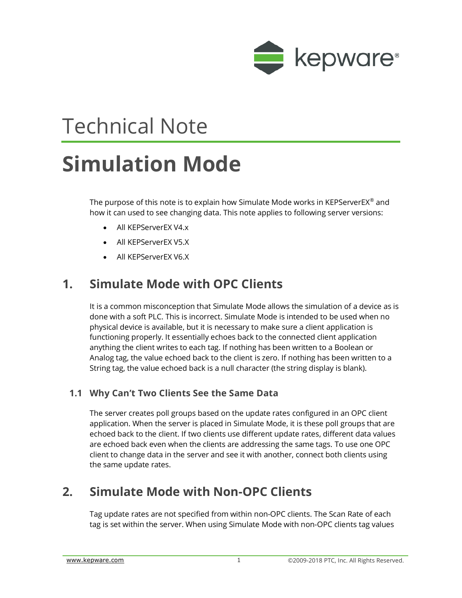

# Technical Note

## **Simulation Mode**

The purpose of this note is to explain how Simulate Mode works in KEPServerEX<sup>®</sup> and how it can used to see changing data. This note applies to following server versions:

- All KEPServerEX V4.x
- All KEPServerEX V5.X
- All KEPServerEX V6.X

### **1. Simulate Mode with OPC Clients**

It is a common misconception that Simulate Mode allows the simulation of a device as is done with a soft PLC. This is incorrect. Simulate Mode is intended to be used when no physical device is available, but it is necessary to make sure a client application is functioning properly. It essentially echoes back to the connected client application anything the client writes to each tag. If nothing has been written to a Boolean or Analog tag, the value echoed back to the client is zero. If nothing has been written to a String tag, the value echoed back is a null character (the string display is blank).

#### **1.1 Why Can't Two Clients See the Same Data**

The server creates poll groups based on the update rates configured in an OPC client application. When the server is placed in Simulate Mode, it is these poll groups that are echoed back to the client. If two clients use different update rates, different data values are echoed back even when the clients are addressing the same tags. To use one OPC client to change data in the server and see it with another, connect both clients using the same update rates.

### **2. Simulate Mode with Non-OPC Clients**

Tag update rates are not specified from within non-OPC clients. The Scan Rate of each tag is set within the server. When using Simulate Mode with non-OPC clients tag values